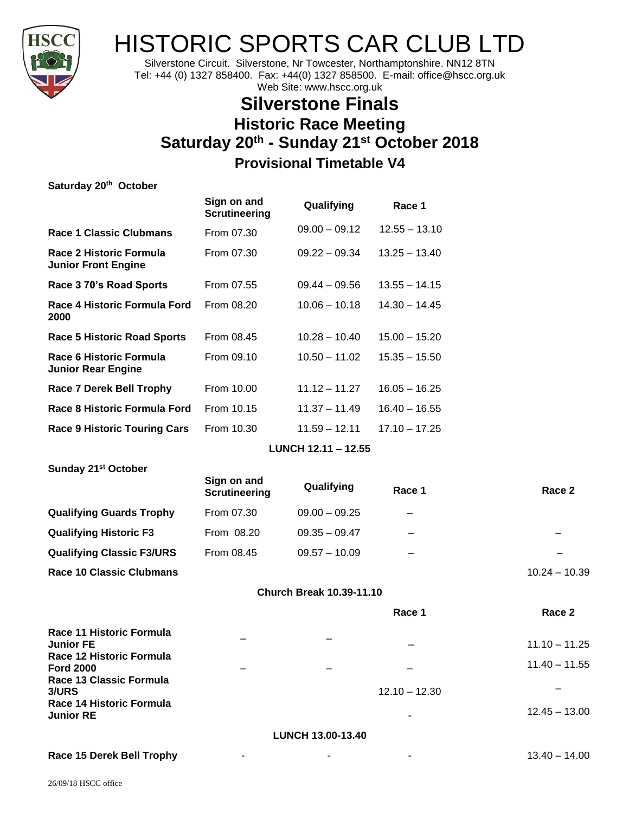

# HISTORIC SPORTS CAR CLUB LTD

Silverstone Circuit. Silverstone, Nr Towcester, Northamptonshire. NN12 8TN Tel: +44 (0) 1327 858400. Fax: +44(0) 1327 858500. E-mail: office@hscc.org.uk Web Site: www.hscc.org.uk

# **Silverstone Finals Historic Race Meeting Saturday 20 th - Sunday 21 st October 2018 Provisional Timetable V4**

| Saturday 20 <sup>th</sup> October                                        |                                     |                                 |                 |                 |
|--------------------------------------------------------------------------|-------------------------------------|---------------------------------|-----------------|-----------------|
|                                                                          | Sign on and<br><b>Scrutineering</b> | Qualifying                      | Race 1          |                 |
| <b>Race 1 Classic Clubmans</b>                                           | From 07.30                          | $09.00 - 09.12$                 | $12.55 - 13.10$ |                 |
| Race 2 Historic Formula<br><b>Junior Front Engine</b>                    | From 07.30                          | $09.22 - 09.34$                 | $13.25 - 13.40$ |                 |
| Race 3 70's Road Sports                                                  | From 07.55                          | $09.44 - 09.56$                 | $13.55 - 14.15$ |                 |
| Race 4 Historic Formula Ford<br>2000                                     | From 08.20                          | $10.06 - 10.18$                 | $14.30 - 14.45$ |                 |
| <b>Race 5 Historic Road Sports</b>                                       | From 08.45                          | $10.28 - 10.40$                 | $15.00 - 15.20$ |                 |
| Race 6 Historic Formula<br><b>Junior Rear Engine</b>                     | From 09.10                          | $10.50 - 11.02$                 | $15.35 - 15.50$ |                 |
| <b>Race 7 Derek Bell Trophy</b>                                          | From 10.00                          | $11.12 - 11.27$                 | $16.05 - 16.25$ |                 |
| Race 8 Historic Formula Ford                                             | From 10.15                          | $11.37 - 11.49$                 | $16.40 - 16.55$ |                 |
| <b>Race 9 Historic Touring Cars</b>                                      | From 10.30                          | $11.59 - 12.11$                 | $17.10 - 17.25$ |                 |
|                                                                          |                                     | LUNCH 12.11 - 12.55             |                 |                 |
| Sunday 21 <sup>st</sup> October                                          |                                     |                                 |                 |                 |
|                                                                          | Sign on and<br><b>Scrutineering</b> | Qualifying                      | Race 1          | Race 2          |
| <b>Qualifying Guards Trophy</b>                                          | From 07.30                          | $09.00 - 09.25$                 |                 |                 |
| <b>Qualifying Historic F3</b>                                            | From 08.20                          | $09.35 - 09.47$                 |                 |                 |
| <b>Qualifying Classic F3/URS</b>                                         | From 08.45                          | $09.57 - 10.09$                 |                 |                 |
| <b>Race 10 Classic Clubmans</b>                                          |                                     |                                 |                 | $10.24 - 10.39$ |
|                                                                          |                                     | <b>Church Break 10.39-11.10</b> |                 |                 |
|                                                                          |                                     |                                 | Race 1          | Race 2          |
| Race 11 Historic Formula<br><b>Junior FE</b><br>Race 12 Historic Formula |                                     |                                 |                 | $11.10 - 11.25$ |
| <b>Ford 2000</b>                                                         |                                     |                                 |                 | $11.40 - 11.55$ |
| Race 13 Classic Formula<br>3/URS<br>Race 14 Historic Formula             |                                     |                                 | $12.10 - 12.30$ |                 |
| <b>Junior RE</b>                                                         |                                     |                                 |                 | $12.45 - 13.00$ |
|                                                                          |                                     | LUNCH 13.00-13.40               |                 |                 |

**Race 15 Derek Bell Trophy** - - - 13.40 – 14.00